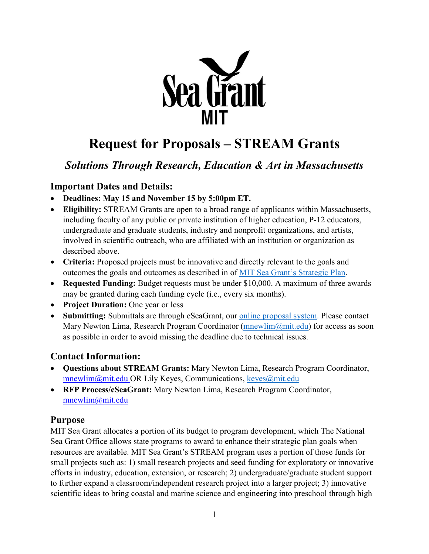

# **Request for Proposals – STREAM Grants**

# *Solutions Through Research, Education & Art in Massachusetts*

## **Important Dates and Details:**

- **Deadlines: May 15 and November 15 by 5:00pm ET.**
- **Eligibility:** STREAM Grants are open to a broad range of applicants within Massachusetts, including faculty of any public or private institution of higher education, P-12 educators, undergraduate and graduate students, industry and nonprofit organizations, and artists, involved in scientific outreach, who are affiliated with an institution or organization as described above.
- **Criteria:** Proposed projects must be innovative and directly relevant to the goals and outcomes the goals and outcomes as described in of [MIT Sea Grant's Strategic Plan.](https://seagrant.mit.edu/wp-content/uploads/2021/03/MITSG_Strategic_Plan_2018_2023.pdf)
- **Requested Funding:** Budget requests must be under \$10,000. A maximum of three awards may be granted during each funding cycle (i.e., every six months).
- **Project Duration:** One year or less
- **Submitting:** Submittals are through eSeaGrant, our [online proposal system.](https://eseagrant.mit.edu/index.php) Please contact Mary Newton Lima, Research Program Coordinator ( $mnewlim@mit.edu$ ) for access as soon as possible in order to avoid missing the deadline due to technical issues.

## **Contact Information:**

- **Questions about STREAM Grants:** Mary Newton Lima, Research Program Coordinator, [mnewlim@mit.edu](about:blank) OR Lily Keyes, Communications, keyes@mit.edu
- **RFP Process/eSeaGrant:** Mary Newton Lima, Research Program Coordinator, [mnewlim@mit.edu](about:blank)

## **Purpose**

MIT Sea Grant allocates a portion of its budget to program development, which The National Sea Grant Office allows state programs to award to enhance their strategic plan goals when resources are available. MIT Sea Grant's STREAM program uses a portion of those funds for small projects such as: 1) small research projects and seed funding for exploratory or innovative efforts in industry, education, extension, or research; 2) undergraduate/graduate student support to further expand a classroom/independent research project into a larger project; 3) innovative scientific ideas to bring coastal and marine science and engineering into preschool through high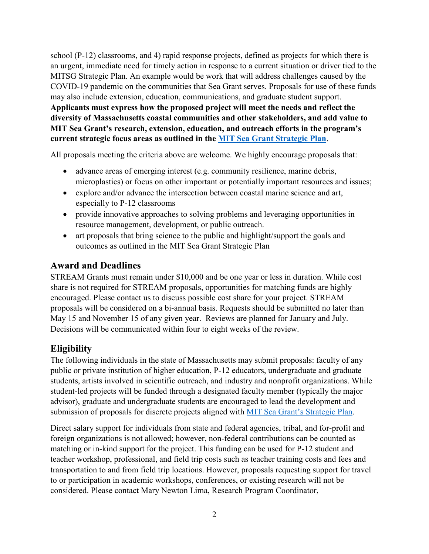school (P-12) classrooms, and 4) rapid response projects, defined as projects for which there is an urgent, immediate need for timely action in response to a current situation or driver tied to the MITSG Strategic Plan. An example would be work that will address challenges caused by the COVID-19 pandemic on the communities that Sea Grant serves. Proposals for use of these funds may also include extension, education, communications, and graduate student support. **Applicants must express how the proposed project will meet the needs and reflect the diversity of Massachusetts coastal communities and other stakeholders, and add value to MIT Sea Grant's research, extension, education, and outreach efforts in the program's current strategic focus areas as outlined in the [MIT Sea Grant Strategic Plan](https://seagrant.mit.edu/wp-content/uploads/2021/03/MITSG_Strategic_Plan_2018_2023.pdf)**.

All proposals meeting the criteria above are welcome. We highly encourage proposals that:

- advance areas of emerging interest (e.g. community resilience, marine debris, microplastics) or focus on other important or potentially important resources and issues;
- explore and/or advance the intersection between coastal marine science and art, especially to P-12 classrooms
- provide innovative approaches to solving problems and leveraging opportunities in resource management, development, or public outreach.
- art proposals that bring science to the public and highlight/support the goals and outcomes as outlined in the MIT Sea Grant Strategic Plan

#### **Award and Deadlines**

STREAM Grants must remain under \$10,000 and be one year or less in duration. While cost share is not required for STREAM proposals, opportunities for matching funds are highly encouraged. Please contact us to discuss possible cost share for your project. STREAM proposals will be considered on a bi-annual basis. Requests should be submitted no later than May 15 and November 15 of any given year. Reviews are planned for January and July. Decisions will be communicated within four to eight weeks of the review.

## **Eligibility**

The following individuals in the state of Massachusetts may submit proposals: faculty of any public or private institution of higher education, P-12 educators, undergraduate and graduate students, artists involved in scientific outreach, and industry and nonprofit organizations. While student-led projects will be funded through a designated faculty member (typically the major advisor), graduate and undergraduate students are encouraged to lead the development and submission of proposals for discrete projects aligned with [MIT Sea Grant's Strategic Plan.](https://seagrant.mit.edu/wp-content/uploads/2021/03/MITSG_Strategic_Plan_2018_2023.pdf)

Direct salary support for individuals from state and federal agencies, tribal, and for-profit and foreign organizations is not allowed; however, non-federal contributions can be counted as matching or in-kind support for the project. This funding can be used for P-12 student and teacher workshop, professional, and field trip costs such as teacher training costs and fees and transportation to and from field trip locations. However, proposals requesting support for travel to or participation in academic workshops, conferences, or existing research will not be considered. Please contact Mary Newton Lima, Research Program Coordinator,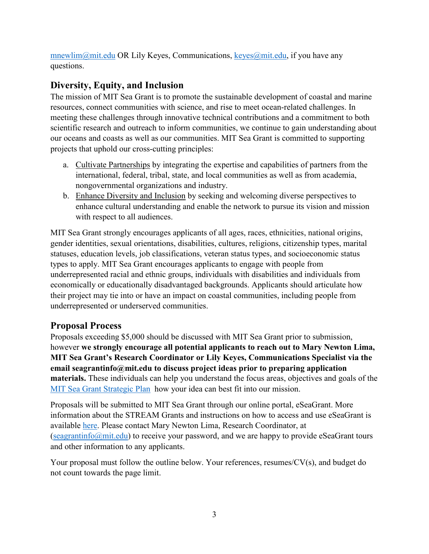mnewlim@mit.edu OR Lily Keyes, Communications, [keyes@mit.edu,](mailto:keyes@mit.edu) if you have any questions.

# **Diversity, Equity, and Inclusion**

The mission of MIT Sea Grant is to promote the sustainable development of coastal and marine resources, connect communities with science, and rise to meet ocean-related challenges. In meeting these challenges through innovative technical contributions and a commitment to both scientific research and outreach to inform communities, we continue to gain understanding about our oceans and coasts as well as our communities. MIT Sea Grant is committed to supporting projects that uphold our cross-cutting principles:

- a. Cultivate Partnerships by integrating the expertise and capabilities of partners from the international, federal, tribal, state, and local communities as well as from academia, nongovernmental organizations and industry.
- b. Enhance Diversity and Inclusion by seeking and welcoming diverse perspectives to enhance cultural understanding and enable the network to pursue its vision and mission with respect to all audiences.

MIT Sea Grant strongly encourages applicants of all ages, races, ethnicities, national origins, gender identities, sexual orientations, disabilities, cultures, religions, citizenship types, marital statuses, education levels, job classifications, veteran status types, and socioeconomic status types to apply. MIT Sea Grant encourages applicants to engage with people from underrepresented racial and ethnic groups, individuals with disabilities and individuals from economically or educationally disadvantaged backgrounds. Applicants should articulate how their project may tie into or have an impact on coastal communities, including people from underrepresented or underserved communities.

# **Proposal Process**

Proposals exceeding \$5,000 should be discussed with MIT Sea Grant prior to submission, however **we strongly encourage all potential applicants to reach out to Mary Newton Lima, MIT Sea Grant's Research Coordinator or Lily Keyes, Communications Specialist via the email seagrantinfo@mit.edu to discuss project ideas prior to preparing application materials.** These individuals can help you understand the focus areas, objectives and goals of the [MIT Sea Grant Strategic Plan](https://seagrant.mit.edu/wp-content/uploads/2021/03/MITSG_Strategic_Plan_2018_2023.pdf) how your idea can best fit into our mission.

Proposals will be submitted to MIT Sea Grant through our online portal, eSeaGrant. More information about the STREAM Grants and instructions on how to access and use eSeaGrant is available [here.](https://seagrant.mit.edu/stream/) Please contact Mary Newton Lima, Research Coordinator, at  $\frac{\text{[seagrantinfo]}{\text{[equation]}}$  to receive your password, and we are happy to provide eSeaGrant tours and other information to any applicants.

Your proposal must follow the outline below. Your references, resumes/CV(s), and budget do not count towards the page limit.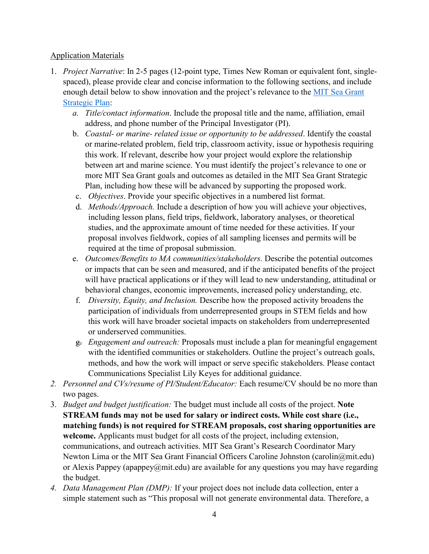#### Application Materials

- 1. *Project Narrative*: In 2-5 pages (12-point type, Times New Roman or equivalent font, singlespaced), please provide clear and concise information to the following sections, and include enough detail below to show innovation and the project's relevance to the MIT Sea Grant [Strategic Plan:](https://seagrant.mit.edu/wp-content/uploads/2021/03/MITSG_Strategic_Plan_2018_2023.pdf)
	- *a. Title/contact information*. Include the proposal title and the name, affiliation, email address, and phone number of the Principal Investigator (PI).
	- b. *Coastal- or marine- related issue or opportunity to be addressed*. Identify the coastal or marine-related problem, field trip, classroom activity, issue or hypothesis requiring this work. If relevant, describe how your project would explore the relationship between art and marine science. You must identify the project's relevance to one or more MIT Sea Grant goals and outcomes as detailed in the MIT Sea Grant Strategic Plan, including how these will be advanced by supporting the proposed work.
	- c. *Objectives*. Provide your specific objectives in a numbered list format.
	- d. *Methods/Approach.* Include a description of how you will achieve your objectives, including lesson plans, field trips, fieldwork, laboratory analyses, or theoretical studies, and the approximate amount of time needed for these activities. If your proposal involves fieldwork, copies of all sampling licenses and permits will be required at the time of proposal submission.
	- e. *Outcomes/Benefits to MA communities/stakeholders.* Describe the potential outcomes or impacts that can be seen and measured, and if the anticipated benefits of the project will have practical applications or if they will lead to new understanding, attitudinal or behavioral changes, economic improvements, increased policy understanding, etc.
	- f. *Diversity, Equity, and Inclusion.* Describe how the proposed activity broadens the participation of individuals from underrepresented groups in STEM fields and how this work will have broader societal impacts on stakeholders from underrepresented or underserved communities.
	- g. *Engagement and outreach:* Proposals must include a plan for meaningful engagement with the identified communities or stakeholders. Outline the project's outreach goals, methods, and how the work will impact or serve specific stakeholders. Please contact Communications Specialist Lily Keyes for additional guidance.
- *2. Personnel and CVs/resume of PI/Student/Educator:* Each resume/CV should be no more than two pages.
- 3. *Budget and budget justification:* The budget must include all costs of the project. **Note STREAM funds may not be used for salary or indirect costs. While cost share (i.e., matching funds) is not required for STREAM proposals, cost sharing opportunities are welcome.** Applicants must budget for all costs of the project, including extension, communications, and outreach activities. MIT Sea Grant's Research Coordinator Mary Newton Lima or the MIT Sea Grant Financial Officers Caroline Johnston (carolin@mit.edu) or Alexis Pappey (apappey $\omega$ mit.edu) are available for any questions you may have regarding the budget.
- *4. Data Management Plan (DMP):* If your project does not include data collection, enter a simple statement such as "This proposal will not generate environmental data. Therefore, a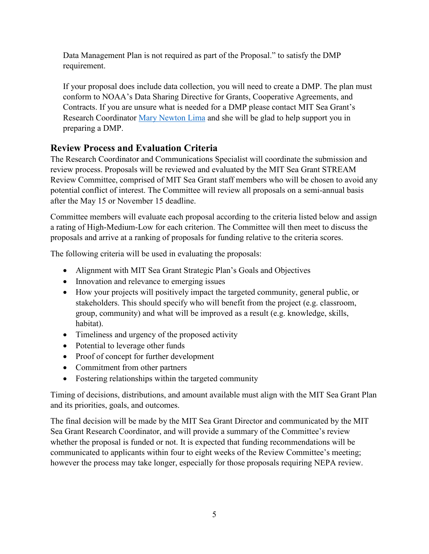Data Management Plan is not required as part of the Proposal." to satisfy the DMP requirement.

If your proposal does include data collection, you will need to create a DMP. The plan must conform to NOAA's Data Sharing Directive for Grants, Cooperative Agreements, and Contracts. If you are unsure what is needed for a DMP please contact MIT Sea Grant's Research Coordinator [Mary Newton Lima](mailto:mnewlim@mit.edu) and she will be glad to help support you in preparing a DMP.

# **Review Process and Evaluation Criteria**

The Research Coordinator and Communications Specialist will coordinate the submission and review process. Proposals will be reviewed and evaluated by the MIT Sea Grant STREAM Review Committee, comprised of MIT Sea Grant staff members who will be chosen to avoid any potential conflict of interest. The Committee will review all proposals on a semi-annual basis after the May 15 or November 15 deadline.

Committee members will evaluate each proposal according to the criteria listed below and assign a rating of High-Medium-Low for each criterion. The Committee will then meet to discuss the proposals and arrive at a ranking of proposals for funding relative to the criteria scores.

The following criteria will be used in evaluating the proposals:

- Alignment with MIT Sea Grant Strategic Plan's Goals and Objectives
- Innovation and relevance to emerging issues
- How your projects will positively impact the targeted community, general public, or stakeholders. This should specify who will benefit from the project (e.g. classroom, group, community) and what will be improved as a result (e.g. knowledge, skills, habitat).
- Timeliness and urgency of the proposed activity
- Potential to leverage other funds
- Proof of concept for further development
- Commitment from other partners
- Fostering relationships within the targeted community

Timing of decisions, distributions, and amount available must align with the MIT Sea Grant Plan and its priorities, goals, and outcomes.

The final decision will be made by the MIT Sea Grant Director and communicated by the MIT Sea Grant Research Coordinator, and will provide a summary of the Committee's review whether the proposal is funded or not. It is expected that funding recommendations will be communicated to applicants within four to eight weeks of the Review Committee's meeting; however the process may take longer, especially for those proposals requiring NEPA review.